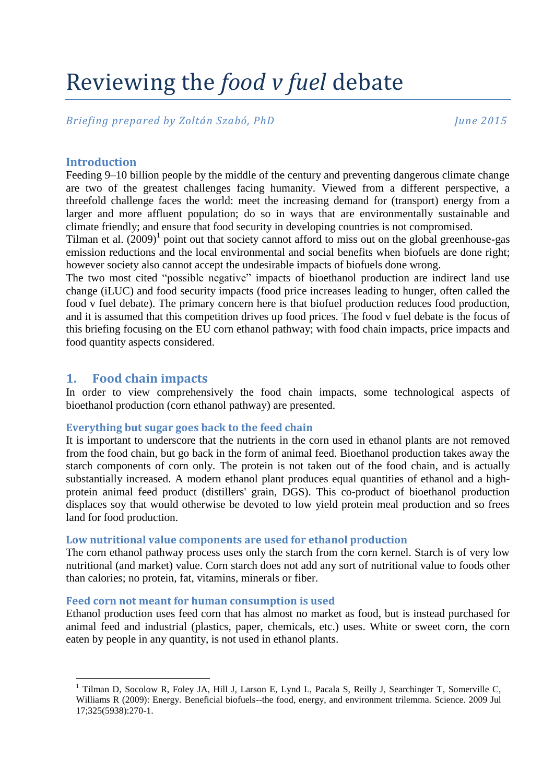# Reviewing the *food v fuel* debate

*Briefing prepared by Zoltán Szabó, PhD June 2015*

# **Introduction**

Feeding 9–10 billion people by the middle of the century and preventing dangerous climate change are two of the greatest challenges facing humanity. Viewed from a different perspective, a threefold challenge faces the world: meet the increasing demand for (transport) energy from a larger and more affluent population; do so in ways that are environmentally sustainable and climate friendly; and ensure that food security in developing countries is not compromised.

Tilman et al.  $(2009)^1$  point out that society cannot afford to miss out on the global greenhouse-gas emission reductions and the local environmental and social benefits when biofuels are done right; however society also cannot accept the undesirable impacts of biofuels done wrong.

The two most cited "possible negative" impacts of bioethanol production are indirect land use change (iLUC) and food security impacts (food price increases leading to hunger, often called the food v fuel debate). The primary concern here is that biofuel production reduces food production, and it is assumed that this competition drives up food prices. The food v fuel debate is the focus of this briefing focusing on the EU corn ethanol pathway; with food chain impacts, price impacts and food quantity aspects considered.

# **1. Food chain impacts**

<u>.</u>

In order to view comprehensively the food chain impacts, some technological aspects of bioethanol production (corn ethanol pathway) are presented.

# **Everything but sugar goes back to the feed chain**

It is important to underscore that the nutrients in the corn used in ethanol plants are not removed from the food chain, but go back in the form of animal feed. Bioethanol production takes away the starch components of corn only. The protein is not taken out of the food chain, and is actually substantially increased. A modern ethanol plant produces equal quantities of ethanol and a highprotein animal feed product (distillers' grain, DGS). This co-product of bioethanol production displaces soy that would otherwise be devoted to low yield protein meal production and so frees land for food production.

#### **Low nutritional value components are used for ethanol production**

The corn ethanol pathway process uses only the starch from the corn kernel. Starch is of very low nutritional (and market) value. Corn starch does not add any sort of nutritional value to foods other than calories; no protein, fat, vitamins, minerals or fiber.

#### **Feed corn not meant for human consumption is used**

Ethanol production uses feed corn that has almost no market as food, but is instead purchased for animal feed and industrial (plastics, paper, chemicals, etc.) uses. White or sweet corn, the corn eaten by people in any quantity, is not used in ethanol plants.

<sup>&</sup>lt;sup>1</sup> [Tilman D,](http://www.ncbi.nlm.nih.gov/pubmed?term=Tilman%20D%5BAuthor%5D&cauthor=true&cauthor_uid=19608900) [Socolow R,](http://www.ncbi.nlm.nih.gov/pubmed?term=Socolow%20R%5BAuthor%5D&cauthor=true&cauthor_uid=19608900) [Foley JA,](http://www.ncbi.nlm.nih.gov/pubmed?term=Foley%20JA%5BAuthor%5D&cauthor=true&cauthor_uid=19608900) [Hill J,](http://www.ncbi.nlm.nih.gov/pubmed?term=Hill%20J%5BAuthor%5D&cauthor=true&cauthor_uid=19608900) [Larson E,](http://www.ncbi.nlm.nih.gov/pubmed?term=Larson%20E%5BAuthor%5D&cauthor=true&cauthor_uid=19608900) [Lynd L,](http://www.ncbi.nlm.nih.gov/pubmed?term=Lynd%20L%5BAuthor%5D&cauthor=true&cauthor_uid=19608900) [Pacala S,](http://www.ncbi.nlm.nih.gov/pubmed?term=Pacala%20S%5BAuthor%5D&cauthor=true&cauthor_uid=19608900) [Reilly J,](http://www.ncbi.nlm.nih.gov/pubmed?term=Reilly%20J%5BAuthor%5D&cauthor=true&cauthor_uid=19608900) [Searchinger T,](http://www.ncbi.nlm.nih.gov/pubmed?term=Searchinger%20T%5BAuthor%5D&cauthor=true&cauthor_uid=19608900) [Somerville C,](http://www.ncbi.nlm.nih.gov/pubmed?term=Somerville%20C%5BAuthor%5D&cauthor=true&cauthor_uid=19608900) [Williams R](http://www.ncbi.nlm.nih.gov/pubmed?term=Williams%20R%5BAuthor%5D&cauthor=true&cauthor_uid=19608900) (2009): Energy. Beneficial biofuels--the food, energy, and environment trilemma. [Science.](http://www.ncbi.nlm.nih.gov/pubmed/19608900) 2009 Jul 17;325(5938):270-1.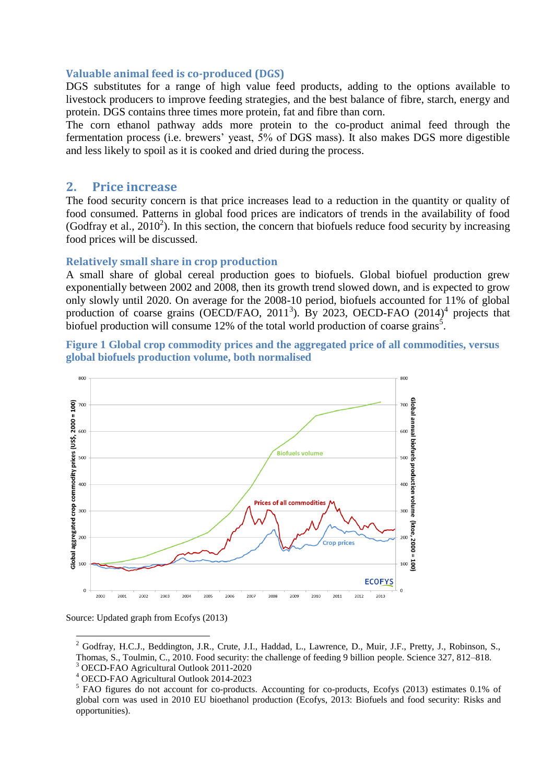#### **Valuable animal feed is co-produced (DGS)**

DGS substitutes for a range of high value feed products, adding to the options available to livestock producers to improve feeding strategies, and the best balance of fibre, starch, energy and protein. DGS contains three times more protein, fat and fibre than corn.

The corn ethanol pathway adds more protein to the co-product animal feed through the fermentation process (i.e. brewers' yeast, 5% of DGS mass). It also makes DGS more digestible and less likely to spoil as it is cooked and dried during the process.

## **2. Price increase**

The food security concern is that price increases lead to a reduction in the quantity or quality of food consumed. Patterns in global food prices are indicators of trends in the availability of food (Godfray et al.,  $2010^2$ ). In this section, the concern that biofuels reduce food security by increasing food prices will be discussed.

#### **Relatively small share in crop production**

A small share of global cereal production goes to biofuels. Global biofuel production grew exponentially between 2002 and 2008, then its growth trend slowed down, and is expected to grow only slowly until 2020. On average for the 2008-10 period, biofuels accounted for 11% of global production of coarse grains (OECD/FAO, 2011<sup>3</sup>). By 2023, OECD-FAO  $(2014)^4$  projects that biofuel production will consume 12% of the total world production of coarse grains<sup>5</sup>.

**Figure 1 Global crop commodity prices and the aggregated price of all commodities, versus global biofuels production volume, both normalised**





1

<sup>&</sup>lt;sup>2</sup> Godfray, H.C.J., Beddington, J.R., Crute, J.I., Haddad, L., Lawrence, D., Muir, J.F., Pretty, J., Robinson, S., Thomas, S., Toulmin, C., 2010. Food security: the challenge of feeding 9 billion people. Science 327, 812–818. <sup>3</sup> OECD-FAO Agricultural Outlook 2011-2020

<sup>4</sup> OECD-FAO Agricultural Outlook 2014-2023

<sup>&</sup>lt;sup>5</sup> FAO figures do not account for co-products. Accounting for co-products, Ecofys (2013) estimates 0.1% of global corn was used in 2010 EU bioethanol production (Ecofys, 2013: Biofuels and food security: Risks and opportunities).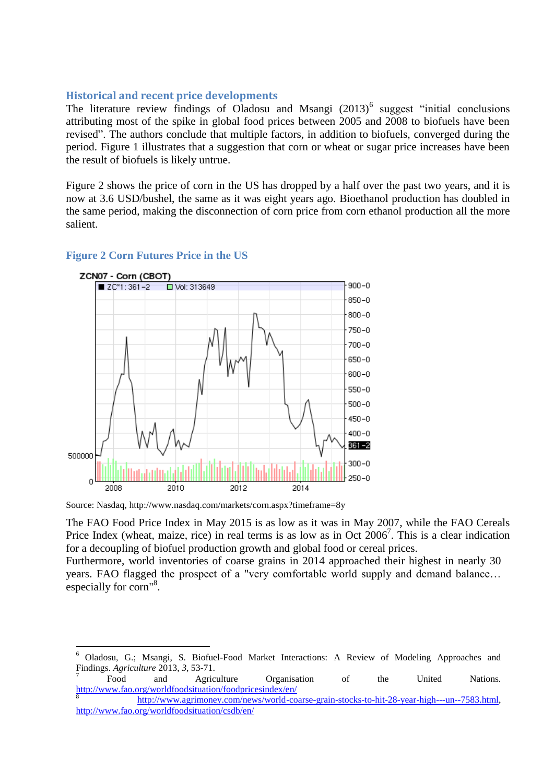# **Historical and recent price developments**

The literature review findings of Oladosu and Msangi  $(2013)^6$  suggest "initial conclusions attributing most of the spike in global food prices between 2005 and 2008 to biofuels have been revised". The authors conclude that multiple factors, in addition to biofuels, converged during the period. Figure 1 illustrates that a suggestion that corn or wheat or sugar price increases have been the result of biofuels is likely untrue.

Figure 2 shows the price of corn in the US has dropped by a half over the past two years, and it is now at 3.6 USD/bushel, the same as it was eight years ago. Bioethanol production has doubled in the same period, making the disconnection of corn price from corn ethanol production all the more salient.



# **Figure 2 Corn Futures Price in the US**

1

Source: Nasdaq, http://www.nasdaq.com/markets/corn.aspx?timeframe=8y

The FAO Food Price Index in May 2015 is as low as it was in May 2007, while the FAO Cereals Price Index (wheat, maize, rice) in real terms is as low as in Oct  $2006^7$ . This is a clear indication for a decoupling of biofuel production growth and global food or cereal prices.

Furthermore, world inventories of coarse grains in 2014 approached their highest in nearly 30 years. FAO flagged the prospect of a "very comfortable world supply and demand balance… especially for corn"<sup>8</sup>.

7 Food and Agriculture Organisation of the United Nations. <http://www.fao.org/worldfoodsituation/foodpricesindex/en/>

<sup>6</sup> Oladosu, G.; Msangi, S. Biofuel-Food Market Interactions: A Review of Modeling Approaches and Findings. *Agriculture* 2013, *3*, 53-71.

<sup>8</sup> [http://www.agrimoney.com/news/world-coarse-grain-stocks-to-hit-28-year-high---un--7583.html,](http://www.agrimoney.com/news/world-coarse-grain-stocks-to-hit-28-year-high---un--7583.html) <http://www.fao.org/worldfoodsituation/csdb/en/>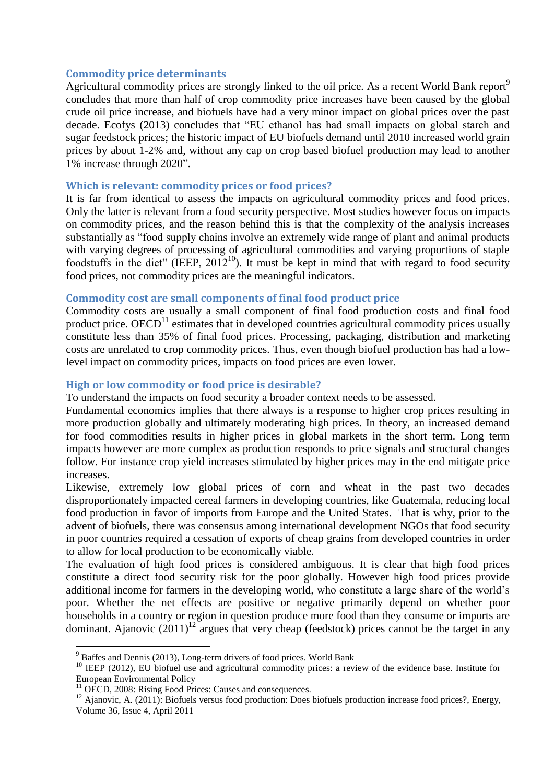## **Commodity price determinants**

Agricultural commodity prices are strongly linked to the oil price. As a recent World Bank report<sup>9</sup> concludes that more than half of crop commodity price increases have been caused by the global crude oil price increase, and biofuels have had a very minor impact on global prices over the past decade. Ecofys (2013) concludes that "EU ethanol has had small impacts on global starch and sugar feedstock prices; the historic impact of EU biofuels demand until 2010 increased world grain prices by about 1-2% and, without any cap on crop based biofuel production may lead to another 1% increase through 2020".

### **Which is relevant: commodity prices or food prices?**

It is far from identical to assess the impacts on agricultural commodity prices and food prices. Only the latter is relevant from a food security perspective. Most studies however focus on impacts on commodity prices, and the reason behind this is that the complexity of the analysis increases substantially as "food supply chains involve an extremely wide range of plant and animal products with varying degrees of processing of agricultural commodities and varying proportions of staple foodstuffs in the diet" (IEEP,  $2012^{10}$ ). It must be kept in mind that with regard to food security food prices, not commodity prices are the meaningful indicators.

## **Commodity cost are small components of final food product price**

Commodity costs are usually a small component of final food production costs and final food product price.  $OECD<sup>11</sup>$  estimates that in developed countries agricultural commodity prices usually constitute less than 35% of final food prices. Processing, packaging, distribution and marketing costs are unrelated to crop commodity prices. Thus, even though biofuel production has had a lowlevel impact on commodity prices, impacts on food prices are even lower.

## **High or low commodity or food price is desirable?**

To understand the impacts on food security a broader context needs to be assessed.

Fundamental economics implies that there always is a response to higher crop prices resulting in more production globally and ultimately moderating high prices. In theory, an increased demand for food commodities results in higher prices in global markets in the short term. Long term impacts however are more complex as production responds to price signals and structural changes follow. For instance crop yield increases stimulated by higher prices may in the end mitigate price increases.

Likewise, extremely low global prices of corn and wheat in the past two decades disproportionately impacted cereal farmers in developing countries, like Guatemala, reducing local food production in favor of imports from Europe and the United States. That is why, prior to the advent of biofuels, there was consensus among international development NGOs that food security in poor countries required a cessation of exports of cheap grains from developed countries in order to allow for local production to be economically viable.

The evaluation of high food prices is considered ambiguous. It is clear that high food prices constitute a direct food security risk for the poor globally. However high food prices provide additional income for farmers in the developing world, who constitute a large share of the world's poor. Whether the net effects are positive or negative primarily depend on whether poor households in a country or region in question produce more food than they consume or imports are dominant. Ajanovic  $(2011)^{12}$  argues that very cheap (feedstock) prices cannot be the target in any

1

<sup>&</sup>lt;sup>9</sup> Baffes and Dennis (2013), Long-term drivers of food prices. World Bank

<sup>&</sup>lt;sup>10</sup> IEEP (2012), EU biofuel use and agricultural commodity prices: a review of the evidence base. Institute for European Environmental Policy

<sup>&</sup>lt;sup>11</sup> OECD, 2008: Rising Food Prices: Causes and consequences.

<sup>&</sup>lt;sup>12</sup> Ajanovic, A. (2011): Biofuels versus food production: Does biofuels production increase food prices?, Energy, Volume 36, Issue 4, April 2011